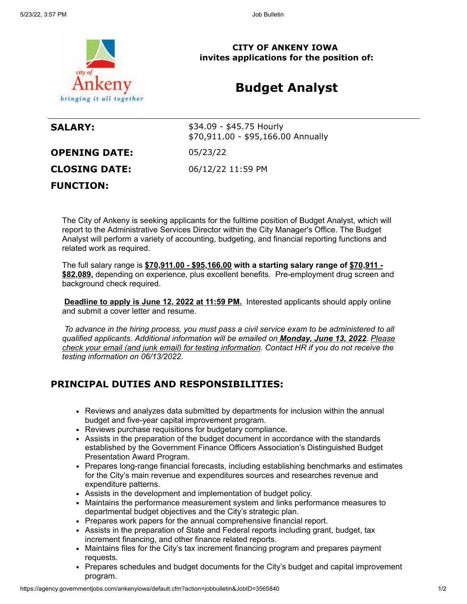

**CITY OF ANKENY IOWA invites applications for the position of:**

# **Budget Analyst**

| <b>SALARY:</b>       | \$34.09 - \$45.75 Hourly<br>\$70,911.00 - \$95,166.00 Annually |
|----------------------|----------------------------------------------------------------|
| <b>OPENING DATE:</b> | 05/23/22                                                       |
| <b>CLOSING DATE:</b> | 06/12/22 11:59 PM                                              |
| <b>FUNCTION:</b>     |                                                                |

The City of Ankeny is seeking applicants for the fulltime position of Budget Analyst, which will report to the Administrative Services Director within the City Manager's Office. The Budget Analyst will perform a variety of accounting, budgeting, and financial reporting functions and related work as required.

The full salary range is **\$70,911.00 - \$95,166.00 with a starting salary range of \$70,911 - \$82,089,** depending on experience, plus excellent benefits. Pre-employment drug screen and background check required.

**Deadline to apply is June 12, 2022 at 11:59 PM.** Interested applicants should apply online and submit a cover letter and resume.

*To advance in the hiring process, you must pass a civil service exam to be administered to all qualified applicants. Additional information will be emailed on Monday, June 13, 2022. Please check your email (and junk email) for testing information. Contact HR if you do not receive the testing information on 06/13/2022.*

## **PRINCIPAL DUTIES AND RESPONSIBILITIES:**

- Reviews and analyzes data submitted by departments for inclusion within the annual budget and five-year capital improvement program.
- Reviews purchase requisitions for budgetary compliance.
- Assists in the preparation of the budget document in accordance with the standards established by the Government Finance Officers Association's Distinguished Budget Presentation Award Program.
- Prepares long-range financial forecasts, including establishing benchmarks and estimates for the City's main revenue and expenditures sources and researches revenue and expenditure patterns.
- Assists in the development and implementation of budget policy.
- Maintains the performance measurement system and links performance measures to departmental budget objectives and the City's strategic plan.
- Prepares work papers for the annual comprehensive financial report.
- Assists in the preparation of State and Federal reports including grant, budget, tax increment financing, and other finance related reports.
- Maintains files for the City's tax increment financing program and prepares payment requests.
- Prepares schedules and budget documents for the City's budget and capital improvement program.